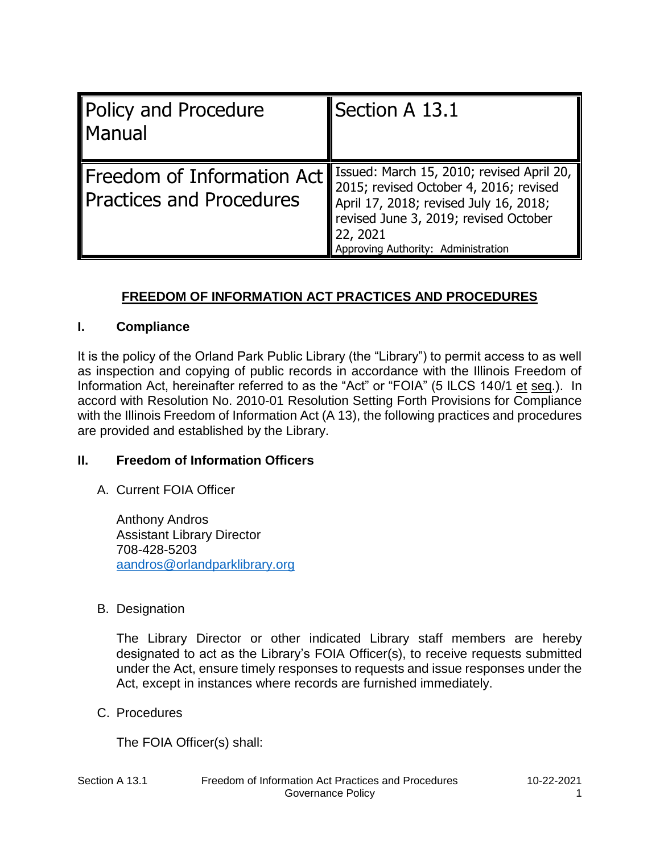| Policy and Procedure<br>Manual                                | Section A $13.1$                                                                                                                                                                                                          |
|---------------------------------------------------------------|---------------------------------------------------------------------------------------------------------------------------------------------------------------------------------------------------------------------------|
| Freedom of Information Act<br><b>Practices and Procedures</b> | Issued: March 15, 2010; revised April 20,<br>2015; revised October 4, 2016; revised<br>April 17, 2018; revised July 16, 2018;<br>revised June 3, 2019; revised October<br>22, 2021<br>Approving Authority: Administration |

# **FREEDOM OF INFORMATION ACT PRACTICES AND PROCEDURES**

#### **I. Compliance**

It is the policy of the Orland Park Public Library (the "Library") to permit access to as well as inspection and copying of public records in accordance with the Illinois Freedom of Information Act, hereinafter referred to as the "Act" or "FOIA" (5 ILCS 140/1 et seq.). In accord with Resolution No. 2010-01 Resolution Setting Forth Provisions for Compliance with the Illinois Freedom of Information Act (A 13), the following practices and procedures are provided and established by the Library.

#### **II. Freedom of Information Officers**

A. Current FOIA Officer

Anthony Andros Assistant Library Director 708-428-5203 aandros@orlandparklibrary.org

B. Designation

The Library Director or other indicated Library staff members are hereby designated to act as the Library's FOIA Officer(s), to receive requests submitted under the Act, ensure timely responses to requests and issue responses under the Act, except in instances where records are furnished immediately.

C. Procedures

The FOIA Officer(s) shall: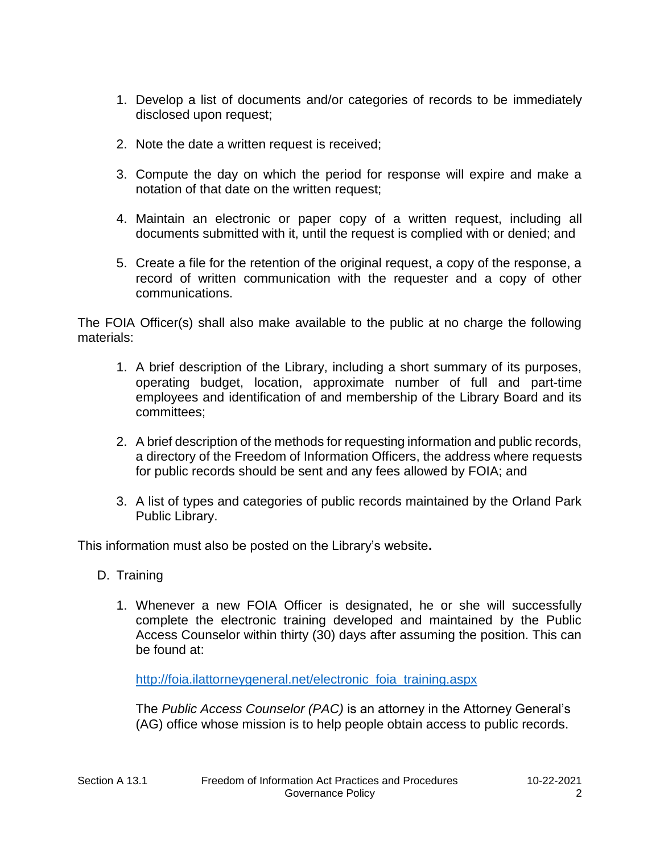- 1. Develop a list of documents and/or categories of records to be immediately disclosed upon request;
- 2. Note the date a written request is received;
- 3. Compute the day on which the period for response will expire and make a notation of that date on the written request;
- 4. Maintain an electronic or paper copy of a written request, including all documents submitted with it, until the request is complied with or denied; and
- 5. Create a file for the retention of the original request, a copy of the response, a record of written communication with the requester and a copy of other communications.

The FOIA Officer(s) shall also make available to the public at no charge the following materials:

- 1. A brief description of the Library, including a short summary of its purposes, operating budget, location, approximate number of full and part-time employees and identification of and membership of the Library Board and its committees;
- 2. A brief description of the methods for requesting information and public records, a directory of the Freedom of Information Officers, the address where requests for public records should be sent and any fees allowed by FOIA; and
- 3. A list of types and categories of public records maintained by the Orland Park Public Library.

This information must also be posted on the Library's website**.**

- D. Training
	- 1. Whenever a new FOIA Officer is designated, he or she will successfully complete the electronic training developed and maintained by the Public Access Counselor within thirty (30) days after assuming the position. This can be found at:

http://foia.ilattorneygeneral.net/electronic\_foia\_training.aspx

The *Public Access Counselor (PAC)* is an attorney in the Attorney General's (AG) office whose mission is to help people obtain access to public records.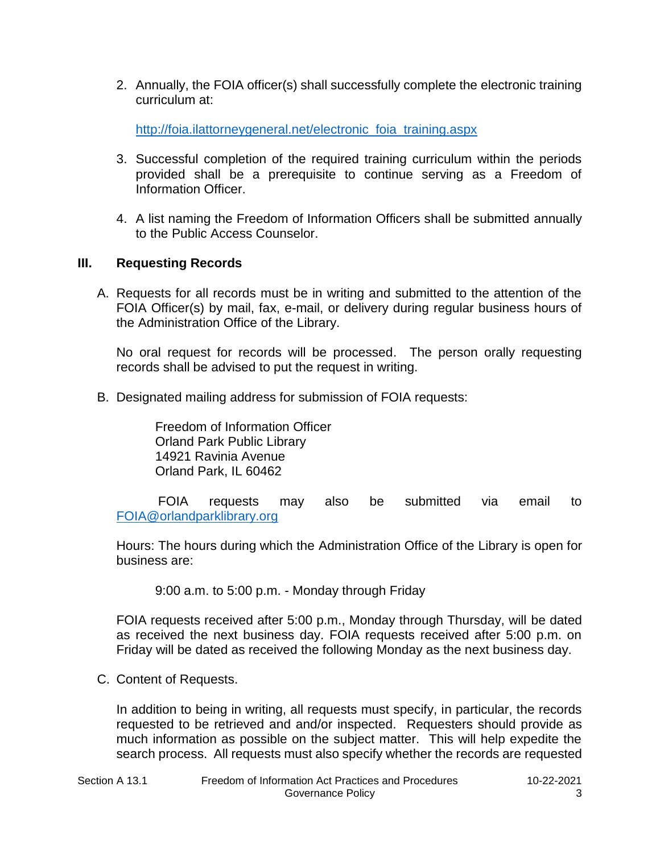2. Annually, the FOIA officer(s) shall successfully complete the electronic training curriculum at:

http://foia.ilattorneygeneral.net/electronic foia training.aspx

- 3. Successful completion of the required training curriculum within the periods provided shall be a prerequisite to continue serving as a Freedom of Information Officer.
- 4. A list naming the Freedom of Information Officers shall be submitted annually to the Public Access Counselor.

#### **III. Requesting Records**

A. Requests for all records must be in writing and submitted to the attention of the FOIA Officer(s) by mail, fax, e-mail, or delivery during regular business hours of the Administration Office of the Library.

No oral request for records will be processed. The person orally requesting records shall be advised to put the request in writing.

B. Designated mailing address for submission of FOIA requests:

Freedom of Information Officer Orland Park Public Library 14921 Ravinia Avenue Orland Park, IL 60462

 FOIA requests may also be submitted via email to FOIA@orlandparklibrary.org

Hours: The hours during which the Administration Office of the Library is open for business are:

9:00 a.m. to 5:00 p.m. - Monday through Friday

FOIA requests received after 5:00 p.m., Monday through Thursday, will be dated as received the next business day. FOIA requests received after 5:00 p.m. on Friday will be dated as received the following Monday as the next business day.

C. Content of Requests.

In addition to being in writing, all requests must specify, in particular, the records requested to be retrieved and and/or inspected. Requesters should provide as much information as possible on the subject matter. This will help expedite the search process. All requests must also specify whether the records are requested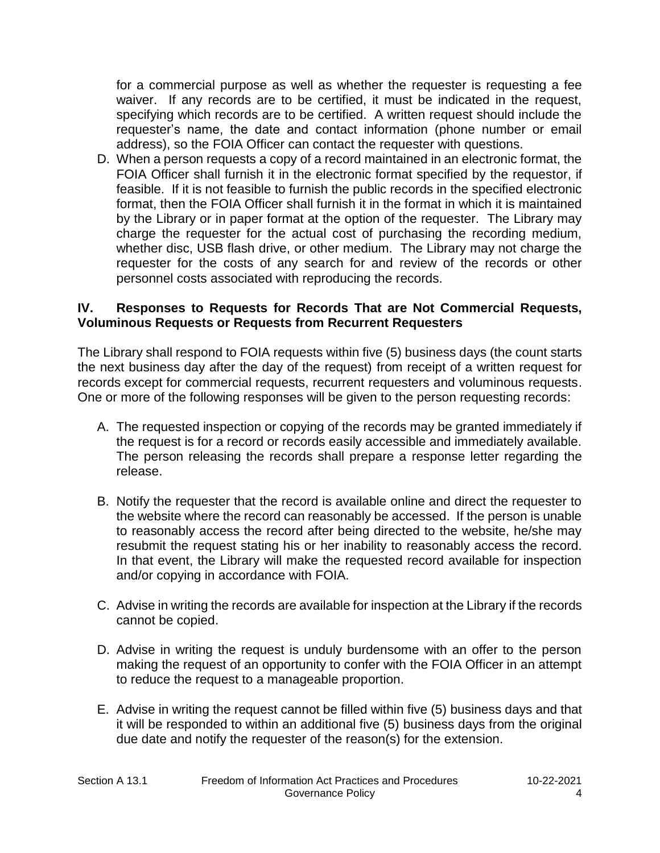for a commercial purpose as well as whether the requester is requesting a fee waiver. If any records are to be certified, it must be indicated in the request, specifying which records are to be certified. A written request should include the requester's name, the date and contact information (phone number or email address), so the FOIA Officer can contact the requester with questions.

D. When a person requests a copy of a record maintained in an electronic format, the FOIA Officer shall furnish it in the electronic format specified by the requestor, if feasible. If it is not feasible to furnish the public records in the specified electronic format, then the FOIA Officer shall furnish it in the format in which it is maintained by the Library or in paper format at the option of the requester. The Library may charge the requester for the actual cost of purchasing the recording medium, whether disc, USB flash drive, or other medium. The Library may not charge the requester for the costs of any search for and review of the records or other personnel costs associated with reproducing the records.

#### **IV. Responses to Requests for Records That are Not Commercial Requests, Voluminous Requests or Requests from Recurrent Requesters**

The Library shall respond to FOIA requests within five (5) business days (the count starts the next business day after the day of the request) from receipt of a written request for records except for commercial requests, recurrent requesters and voluminous requests. One or more of the following responses will be given to the person requesting records:

- A. The requested inspection or copying of the records may be granted immediately if the request is for a record or records easily accessible and immediately available. The person releasing the records shall prepare a response letter regarding the release.
- B. Notify the requester that the record is available online and direct the requester to the website where the record can reasonably be accessed. If the person is unable to reasonably access the record after being directed to the website, he/she may resubmit the request stating his or her inability to reasonably access the record. In that event, the Library will make the requested record available for inspection and/or copying in accordance with FOIA.
- C. Advise in writing the records are available for inspection at the Library if the records cannot be copied.
- D. Advise in writing the request is unduly burdensome with an offer to the person making the request of an opportunity to confer with the FOIA Officer in an attempt to reduce the request to a manageable proportion.
- E. Advise in writing the request cannot be filled within five (5) business days and that it will be responded to within an additional five (5) business days from the original due date and notify the requester of the reason(s) for the extension.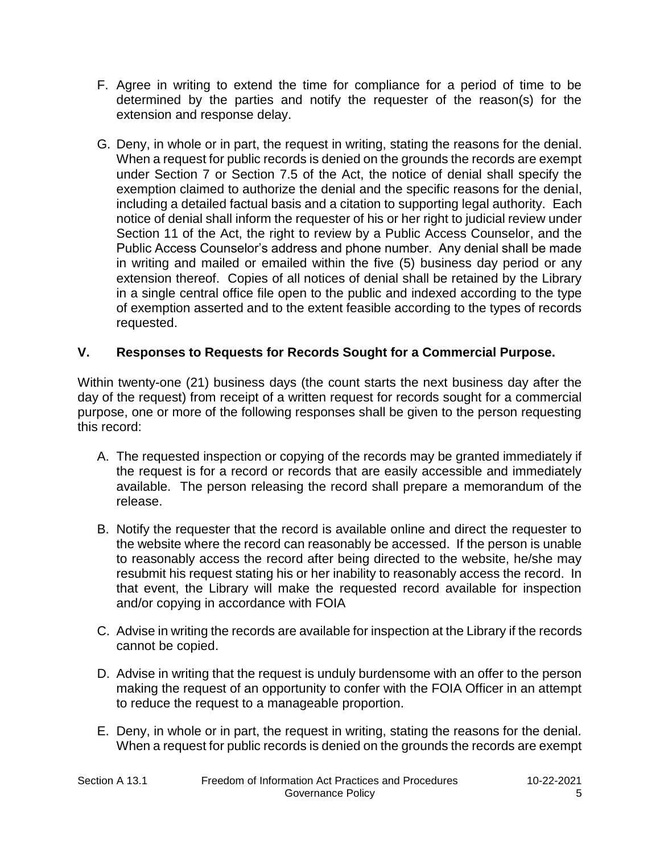- F. Agree in writing to extend the time for compliance for a period of time to be determined by the parties and notify the requester of the reason(s) for the extension and response delay.
- G. Deny, in whole or in part, the request in writing, stating the reasons for the denial. When a request for public records is denied on the grounds the records are exempt under Section 7 or Section 7.5 of the Act, the notice of denial shall specify the exemption claimed to authorize the denial and the specific reasons for the denial, including a detailed factual basis and a citation to supporting legal authority. Each notice of denial shall inform the requester of his or her right to judicial review under Section 11 of the Act, the right to review by a Public Access Counselor, and the Public Access Counselor's address and phone number. Any denial shall be made in writing and mailed or emailed within the five (5) business day period or any extension thereof. Copies of all notices of denial shall be retained by the Library in a single central office file open to the public and indexed according to the type of exemption asserted and to the extent feasible according to the types of records requested.

## **V. Responses to Requests for Records Sought for a Commercial Purpose.**

Within twenty-one (21) business days (the count starts the next business day after the day of the request) from receipt of a written request for records sought for a commercial purpose, one or more of the following responses shall be given to the person requesting this record:

- A. The requested inspection or copying of the records may be granted immediately if the request is for a record or records that are easily accessible and immediately available. The person releasing the record shall prepare a memorandum of the release.
- B. Notify the requester that the record is available online and direct the requester to the website where the record can reasonably be accessed. If the person is unable to reasonably access the record after being directed to the website, he/she may resubmit his request stating his or her inability to reasonably access the record. In that event, the Library will make the requested record available for inspection and/or copying in accordance with FOIA
- C. Advise in writing the records are available for inspection at the Library if the records cannot be copied.
- D. Advise in writing that the request is unduly burdensome with an offer to the person making the request of an opportunity to confer with the FOIA Officer in an attempt to reduce the request to a manageable proportion.
- E. Deny, in whole or in part, the request in writing, stating the reasons for the denial. When a request for public records is denied on the grounds the records are exempt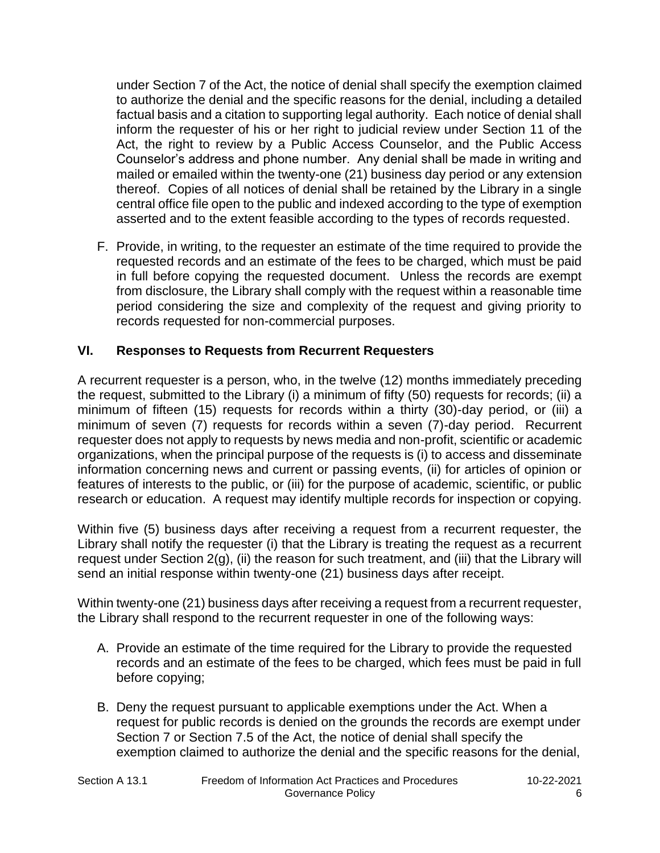under Section 7 of the Act, the notice of denial shall specify the exemption claimed to authorize the denial and the specific reasons for the denial, including a detailed factual basis and a citation to supporting legal authority. Each notice of denial shall inform the requester of his or her right to judicial review under Section 11 of the Act, the right to review by a Public Access Counselor, and the Public Access Counselor's address and phone number. Any denial shall be made in writing and mailed or emailed within the twenty-one (21) business day period or any extension thereof. Copies of all notices of denial shall be retained by the Library in a single central office file open to the public and indexed according to the type of exemption asserted and to the extent feasible according to the types of records requested.

F. Provide, in writing, to the requester an estimate of the time required to provide the requested records and an estimate of the fees to be charged, which must be paid in full before copying the requested document. Unless the records are exempt from disclosure, the Library shall comply with the request within a reasonable time period considering the size and complexity of the request and giving priority to records requested for non-commercial purposes.

## **VI. Responses to Requests from Recurrent Requesters**

A recurrent requester is a person, who, in the twelve (12) months immediately preceding the request, submitted to the Library (i) a minimum of fifty (50) requests for records; (ii) a minimum of fifteen (15) requests for records within a thirty (30)-day period, or (iii) a minimum of seven (7) requests for records within a seven (7)-day period. Recurrent requester does not apply to requests by news media and non-profit, scientific or academic organizations, when the principal purpose of the requests is (i) to access and disseminate information concerning news and current or passing events, (ii) for articles of opinion or features of interests to the public, or (iii) for the purpose of academic, scientific, or public research or education. A request may identify multiple records for inspection or copying.

Within five (5) business days after receiving a request from a recurrent requester, the Library shall notify the requester (i) that the Library is treating the request as a recurrent request under Section 2(g), (ii) the reason for such treatment, and (iii) that the Library will send an initial response within twenty-one (21) business days after receipt.

Within twenty-one (21) business days after receiving a request from a recurrent requester, the Library shall respond to the recurrent requester in one of the following ways:

- A. Provide an estimate of the time required for the Library to provide the requested records and an estimate of the fees to be charged, which fees must be paid in full before copying;
- B. Deny the request pursuant to applicable exemptions under the Act. When a request for public records is denied on the grounds the records are exempt under Section 7 or Section 7.5 of the Act, the notice of denial shall specify the exemption claimed to authorize the denial and the specific reasons for the denial,

| Section A 13.1 |  |  |
|----------------|--|--|
|                |  |  |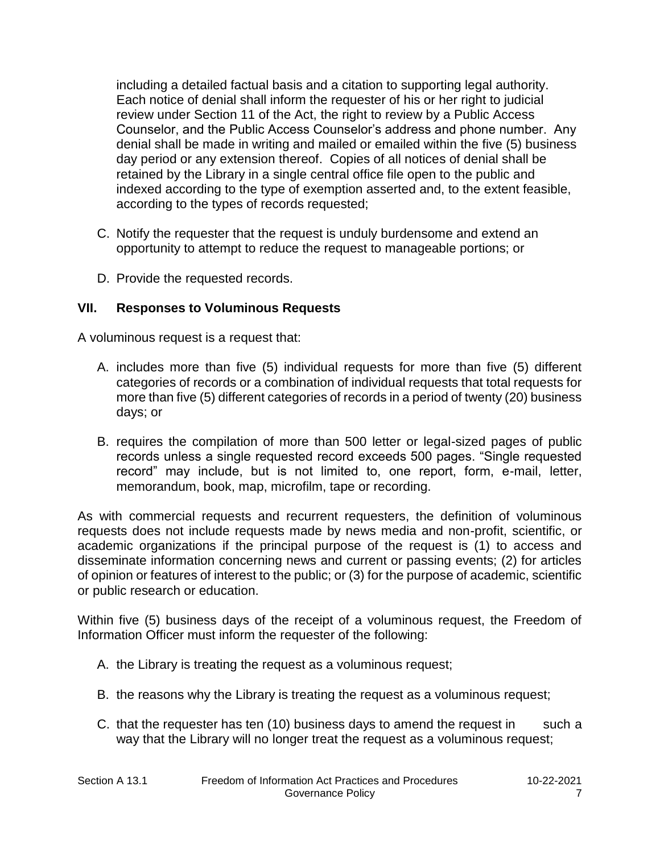including a detailed factual basis and a citation to supporting legal authority. Each notice of denial shall inform the requester of his or her right to judicial review under Section 11 of the Act, the right to review by a Public Access Counselor, and the Public Access Counselor's address and phone number. Any denial shall be made in writing and mailed or emailed within the five (5) business day period or any extension thereof. Copies of all notices of denial shall be retained by the Library in a single central office file open to the public and indexed according to the type of exemption asserted and, to the extent feasible, according to the types of records requested;

- C. Notify the requester that the request is unduly burdensome and extend an opportunity to attempt to reduce the request to manageable portions; or
- D. Provide the requested records.

## **VII. Responses to Voluminous Requests**

A voluminous request is a request that:

- A. includes more than five (5) individual requests for more than five (5) different categories of records or a combination of individual requests that total requests for more than five (5) different categories of records in a period of twenty (20) business days; or
- B. requires the compilation of more than 500 letter or legal-sized pages of public records unless a single requested record exceeds 500 pages. "Single requested record" may include, but is not limited to, one report, form, e-mail, letter, memorandum, book, map, microfilm, tape or recording.

As with commercial requests and recurrent requesters, the definition of voluminous requests does not include requests made by news media and non-profit, scientific, or academic organizations if the principal purpose of the request is (1) to access and disseminate information concerning news and current or passing events; (2) for articles of opinion or features of interest to the public; or (3) for the purpose of academic, scientific or public research or education.

Within five (5) business days of the receipt of a voluminous request, the Freedom of Information Officer must inform the requester of the following:

- A. the Library is treating the request as a voluminous request;
- B. the reasons why the Library is treating the request as a voluminous request;
- C. that the requester has ten  $(10)$  business days to amend the request in such a way that the Library will no longer treat the request as a voluminous request;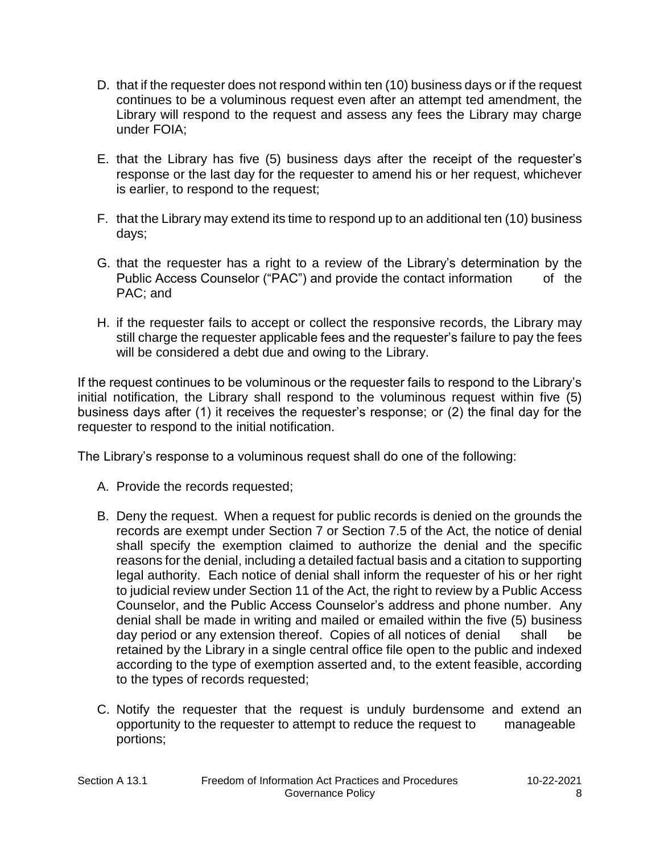- D. that if the requester does not respond within ten (10) business days or if the request continues to be a voluminous request even after an attempt ted amendment, the Library will respond to the request and assess any fees the Library may charge under FOIA;
- E. that the Library has five (5) business days after the receipt of the requester's response or the last day for the requester to amend his or her request, whichever is earlier, to respond to the request;
- F. that the Library may extend its time to respond up to an additional ten (10) business days;
- G. that the requester has a right to a review of the Library's determination by the Public Access Counselor ("PAC") and provide the contact information of the PAC; and
- H. if the requester fails to accept or collect the responsive records, the Library may still charge the requester applicable fees and the requester's failure to pay the fees will be considered a debt due and owing to the Library.

If the request continues to be voluminous or the requester fails to respond to the Library's initial notification, the Library shall respond to the voluminous request within five (5) business days after (1) it receives the requester's response; or (2) the final day for the requester to respond to the initial notification.

The Library's response to a voluminous request shall do one of the following:

- A. Provide the records requested;
- B. Deny the request. When a request for public records is denied on the grounds the records are exempt under Section 7 or Section 7.5 of the Act, the notice of denial shall specify the exemption claimed to authorize the denial and the specific reasons for the denial, including a detailed factual basis and a citation to supporting legal authority. Each notice of denial shall inform the requester of his or her right to judicial review under Section 11 of the Act, the right to review by a Public Access Counselor, and the Public Access Counselor's address and phone number. Any denial shall be made in writing and mailed or emailed within the five (5) business day period or any extension thereof. Copies of all notices of denial shall be retained by the Library in a single central office file open to the public and indexed according to the type of exemption asserted and, to the extent feasible, according to the types of records requested;
- C. Notify the requester that the request is unduly burdensome and extend an opportunity to the requester to attempt to reduce the request to manageable portions;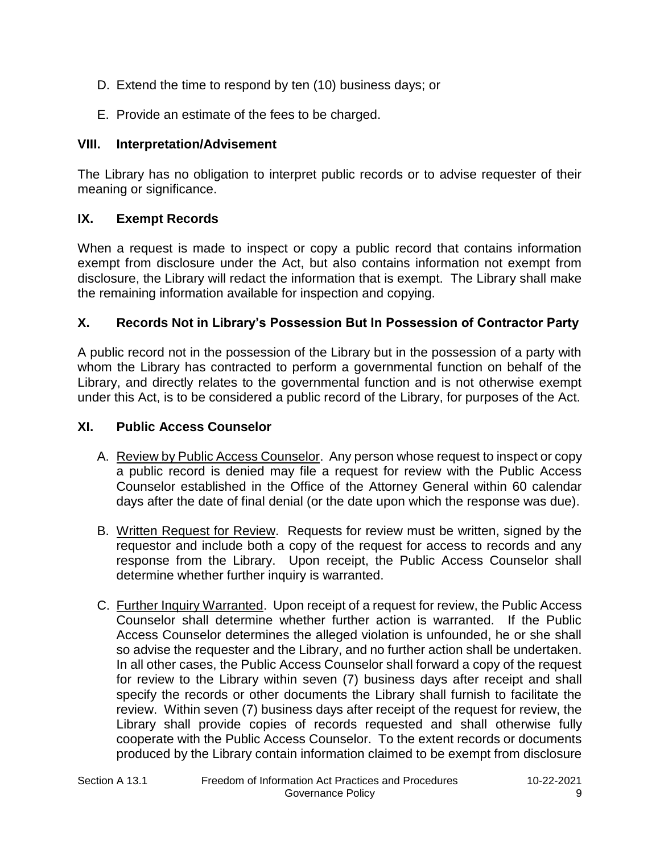- D. Extend the time to respond by ten (10) business days; or
- E. Provide an estimate of the fees to be charged.

## **VIII. Interpretation/Advisement**

The Library has no obligation to interpret public records or to advise requester of their meaning or significance.

# **IX. Exempt Records**

When a request is made to inspect or copy a public record that contains information exempt from disclosure under the Act, but also contains information not exempt from disclosure, the Library will redact the information that is exempt. The Library shall make the remaining information available for inspection and copying.

## **X. Records Not in Library's Possession But In Possession of Contractor Party**

A public record not in the possession of the Library but in the possession of a party with whom the Library has contracted to perform a governmental function on behalf of the Library, and directly relates to the governmental function and is not otherwise exempt under this Act, is to be considered a public record of the Library, for purposes of the Act.

## **XI. Public Access Counselor**

- A. Review by Public Access Counselor. Any person whose request to inspect or copy a public record is denied may file a request for review with the Public Access Counselor established in the Office of the Attorney General within 60 calendar days after the date of final denial (or the date upon which the response was due).
- B. Written Request for Review. Requests for review must be written, signed by the requestor and include both a copy of the request for access to records and any response from the Library. Upon receipt, the Public Access Counselor shall determine whether further inquiry is warranted.
- C. Further Inquiry Warranted. Upon receipt of a request for review, the Public Access Counselor shall determine whether further action is warranted. If the Public Access Counselor determines the alleged violation is unfounded, he or she shall so advise the requester and the Library, and no further action shall be undertaken. In all other cases, the Public Access Counselor shall forward a copy of the request for review to the Library within seven (7) business days after receipt and shall specify the records or other documents the Library shall furnish to facilitate the review. Within seven (7) business days after receipt of the request for review, the Library shall provide copies of records requested and shall otherwise fully cooperate with the Public Access Counselor. To the extent records or documents produced by the Library contain information claimed to be exempt from disclosure

| Section A 13.1 |  |  |
|----------------|--|--|
|                |  |  |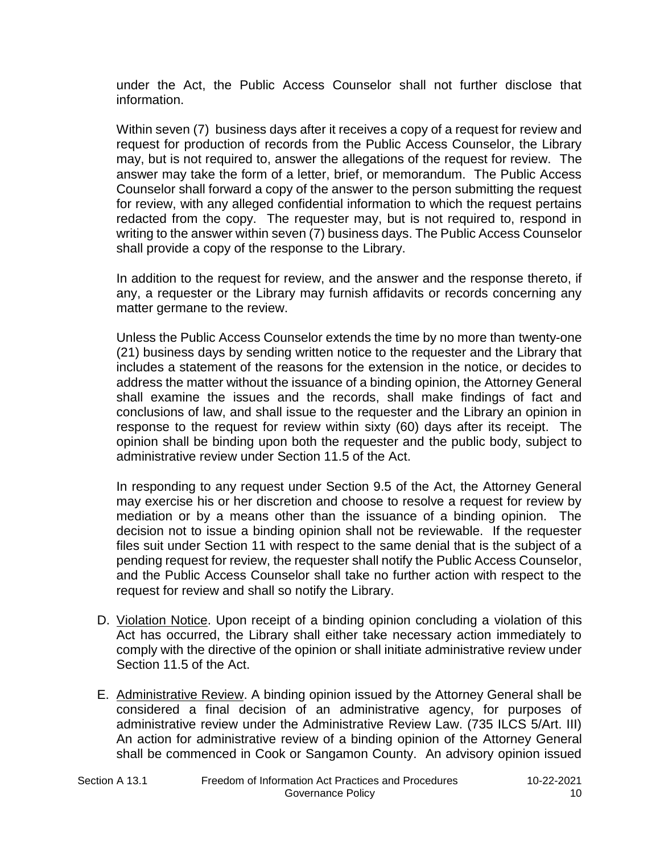under the Act, the Public Access Counselor shall not further disclose that information.

Within seven (7) business days after it receives a copy of a request for review and request for production of records from the Public Access Counselor, the Library may, but is not required to, answer the allegations of the request for review. The answer may take the form of a letter, brief, or memorandum. The Public Access Counselor shall forward a copy of the answer to the person submitting the request for review, with any alleged confidential information to which the request pertains redacted from the copy. The requester may, but is not required to, respond in writing to the answer within seven (7) business days. The Public Access Counselor shall provide a copy of the response to the Library.

In addition to the request for review, and the answer and the response thereto, if any, a requester or the Library may furnish affidavits or records concerning any matter germane to the review.

Unless the Public Access Counselor extends the time by no more than twenty-one (21) business days by sending written notice to the requester and the Library that includes a statement of the reasons for the extension in the notice, or decides to address the matter without the issuance of a binding opinion, the Attorney General shall examine the issues and the records, shall make findings of fact and conclusions of law, and shall issue to the requester and the Library an opinion in response to the request for review within sixty (60) days after its receipt. The opinion shall be binding upon both the requester and the public body, subject to administrative review under Section 11.5 of the Act.

In responding to any request under Section 9.5 of the Act, the Attorney General may exercise his or her discretion and choose to resolve a request for review by mediation or by a means other than the issuance of a binding opinion. The decision not to issue a binding opinion shall not be reviewable. If the requester files suit under Section 11 with respect to the same denial that is the subject of a pending request for review, the requester shall notify the Public Access Counselor, and the Public Access Counselor shall take no further action with respect to the request for review and shall so notify the Library.

- D. Violation Notice. Upon receipt of a binding opinion concluding a violation of this Act has occurred, the Library shall either take necessary action immediately to comply with the directive of the opinion or shall initiate administrative review under Section 11.5 of the Act.
- E. Administrative Review. A binding opinion issued by the Attorney General shall be considered a final decision of an administrative agency, for purposes of administrative review under the Administrative Review Law. (735 ILCS 5/Art. III) An action for administrative review of a binding opinion of the Attorney General shall be commenced in Cook or Sangamon County. An advisory opinion issued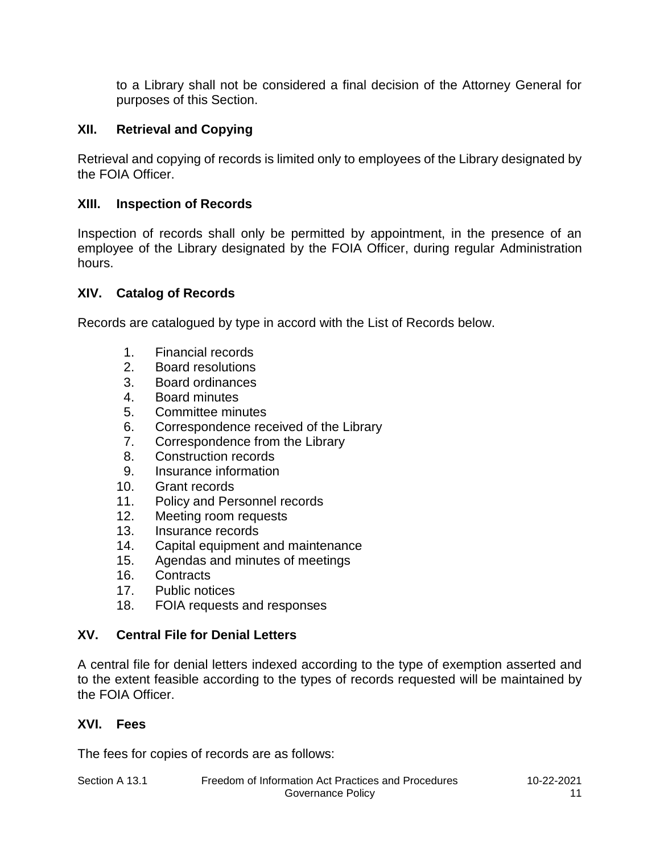to a Library shall not be considered a final decision of the Attorney General for purposes of this Section.

## **XII. Retrieval and Copying**

Retrieval and copying of records is limited only to employees of the Library designated by the FOIA Officer.

## **XIII. Inspection of Records**

Inspection of records shall only be permitted by appointment, in the presence of an employee of the Library designated by the FOIA Officer, during regular Administration hours.

## **XIV. Catalog of Records**

Records are catalogued by type in accord with the List of Records below.

- 1. Financial records
- 2. Board resolutions
- 3. Board ordinances
- 4. Board minutes
- 5. Committee minutes
- 6. Correspondence received of the Library
- 7. Correspondence from the Library
- 8. Construction records
- 9. Insurance information
- 10. Grant records
- 11. Policy and Personnel records
- 12. Meeting room requests
- 13. Insurance records
- 14. Capital equipment and maintenance
- 15. Agendas and minutes of meetings
- 16. Contracts
- 17. Public notices
- 18. FOIA requests and responses

## **XV. Central File for Denial Letters**

A central file for denial letters indexed according to the type of exemption asserted and to the extent feasible according to the types of records requested will be maintained by the FOIA Officer.

## **XVI. Fees**

The fees for copies of records are as follows: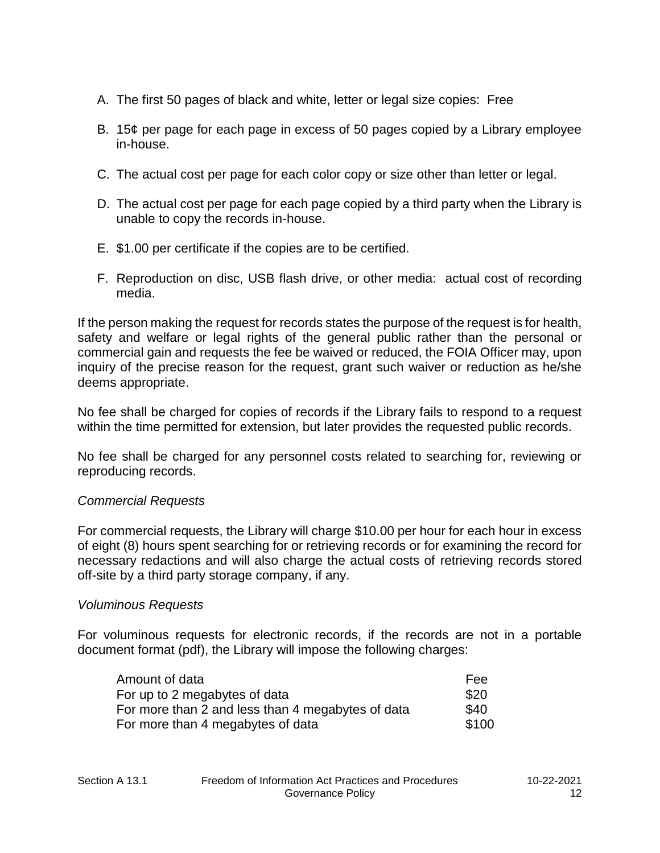- A. The first 50 pages of black and white, letter or legal size copies: Free
- B. 15¢ per page for each page in excess of 50 pages copied by a Library employee in-house.
- C. The actual cost per page for each color copy or size other than letter or legal.
- D. The actual cost per page for each page copied by a third party when the Library is unable to copy the records in-house.
- E. \$1.00 per certificate if the copies are to be certified.
- F. Reproduction on disc, USB flash drive, or other media: actual cost of recording media.

If the person making the request for records states the purpose of the request is for health, safety and welfare or legal rights of the general public rather than the personal or commercial gain and requests the fee be waived or reduced, the FOIA Officer may, upon inquiry of the precise reason for the request, grant such waiver or reduction as he/she deems appropriate.

No fee shall be charged for copies of records if the Library fails to respond to a request within the time permitted for extension, but later provides the requested public records.

No fee shall be charged for any personnel costs related to searching for, reviewing or reproducing records.

#### *Commercial Requests*

For commercial requests, the Library will charge \$10.00 per hour for each hour in excess of eight (8) hours spent searching for or retrieving records or for examining the record for necessary redactions and will also charge the actual costs of retrieving records stored off-site by a third party storage company, if any.

#### *Voluminous Requests*

For voluminous requests for electronic records, if the records are not in a portable document format (pdf), the Library will impose the following charges:

| Amount of data                                    | Fee   |
|---------------------------------------------------|-------|
| For up to 2 megabytes of data                     | \$20  |
| For more than 2 and less than 4 megabytes of data | \$40  |
| For more than 4 megabytes of data                 | \$100 |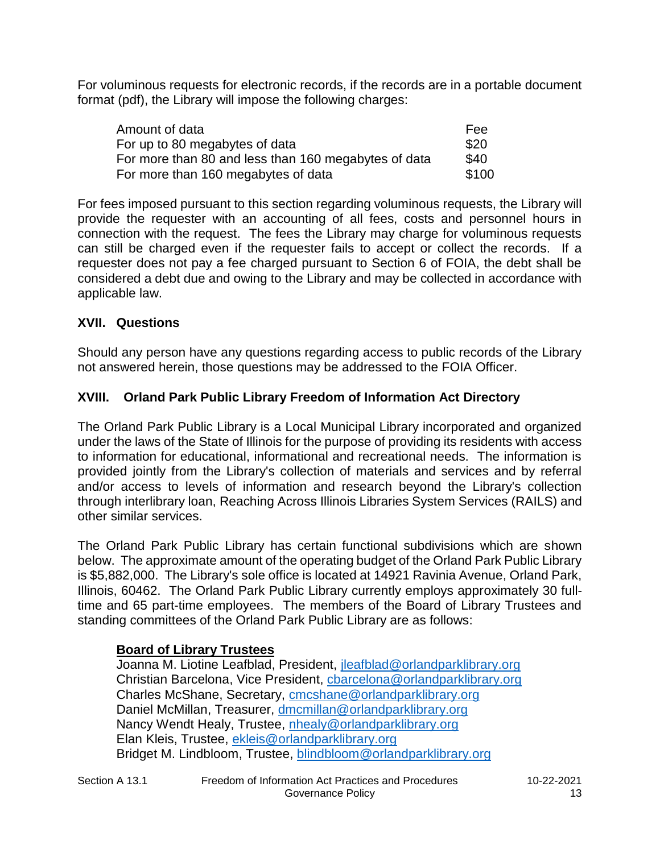For voluminous requests for electronic records, if the records are in a portable document format (pdf), the Library will impose the following charges:

| Amount of data                                       | Fee   |
|------------------------------------------------------|-------|
| For up to 80 megabytes of data                       | \$20  |
| For more than 80 and less than 160 megabytes of data | \$40  |
| For more than 160 megabytes of data                  | \$100 |

For fees imposed pursuant to this section regarding voluminous requests, the Library will provide the requester with an accounting of all fees, costs and personnel hours in connection with the request. The fees the Library may charge for voluminous requests can still be charged even if the requester fails to accept or collect the records. If a requester does not pay a fee charged pursuant to Section 6 of FOIA, the debt shall be considered a debt due and owing to the Library and may be collected in accordance with applicable law.

## **XVII. Questions**

Should any person have any questions regarding access to public records of the Library not answered herein, those questions may be addressed to the FOIA Officer.

## **XVIII. Orland Park Public Library Freedom of Information Act Directory**

The Orland Park Public Library is a Local Municipal Library incorporated and organized under the laws of the State of Illinois for the purpose of providing its residents with access to information for educational, informational and recreational needs. The information is provided jointly from the Library's collection of materials and services and by referral and/or access to levels of information and research beyond the Library's collection through interlibrary loan, Reaching Across Illinois Libraries System Services (RAILS) and other similar services.

The Orland Park Public Library has certain functional subdivisions which are shown below. The approximate amount of the operating budget of the Orland Park Public Library is \$5,882,000. The Library's sole office is located at 14921 Ravinia Avenue, Orland Park, Illinois, 60462. The Orland Park Public Library currently employs approximately 30 fulltime and 65 part-time employees. The members of the Board of Library Trustees and standing committees of the Orland Park Public Library are as follows:

## **Board of Library Trustees**

Joanna M. Liotine Leafblad, President, jleafblad@orlandparklibrary.org Christian Barcelona, Vice President, cbarcelona@orlandparklibrary.org Charles McShane, Secretary, cmcshane@orlandparklibrary.org Daniel McMillan, Treasurer, dmcmillan@orlandparklibrary.org Nancy Wendt Healy, Trustee, nhealy@orlandparklibrary.org Elan Kleis, Trustee, ekleis@orlandparklibrary.org Bridget M. Lindbloom, Trustee, blindbloom@orlandparklibrary.org